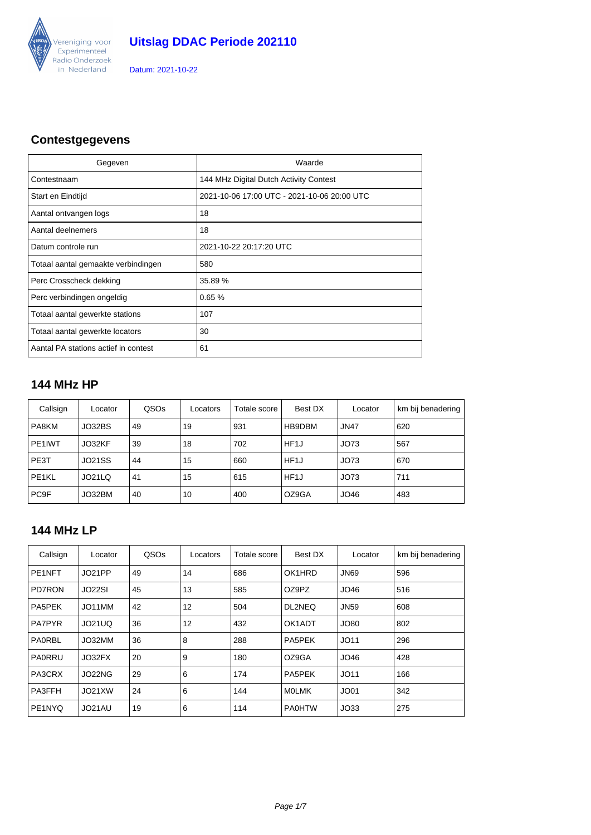

### **Contestgegevens**

| Gegeven                              | Waarde                                      |
|--------------------------------------|---------------------------------------------|
| Contestnaam                          | 144 MHz Digital Dutch Activity Contest      |
| Start en Eindtijd                    | 2021-10-06 17:00 UTC - 2021-10-06 20:00 UTC |
| Aantal ontvangen logs                | 18                                          |
| Aantal deelnemers                    | 18                                          |
| Datum controle run                   | 2021-10-22 20:17:20 UTC                     |
| Totaal aantal gemaakte verbindingen  | 580                                         |
| Perc Crosscheck dekking              | 35.89 %                                     |
| Perc verbindingen ongeldig           | 0.65%                                       |
| Totaal aantal gewerkte stations      | 107                                         |
| Totaal aantal gewerkte locators      | 30                                          |
| Aantal PA stations actief in contest | 61                                          |

### **144 MHz HP**

| Callsign         | Locator | QSOs | Locators | Totale score | Best DX           | Locator     | km bij benadering |
|------------------|---------|------|----------|--------------|-------------------|-------------|-------------------|
| PA8KM            | JO32BS  | 49   | 19       | 931          | HB9DBM            | <b>JN47</b> | 620               |
| PE1IWT           | JO32KF  | 39   | 18       | 702          | HF <sub>1</sub> J | JO73        | 567               |
| PE3T             | JO21SS  | 44   | 15       | 660          | HF <sub>1</sub> J | JO73        | 670               |
| PE1KL            | JO21LQ  | 41   | 15       | 615          | HF <sub>1</sub> J | JO73        | 711               |
| PC <sub>9F</sub> | JO32BM  | 40   | 10       | 400          | OZ9GA             | JO46        | 483               |

#### **144 MHz LP**

| Callsign            | Locator       | QSOs | Locators | Totale score | Best DX       | Locator          | km bij benadering |
|---------------------|---------------|------|----------|--------------|---------------|------------------|-------------------|
| PE <sub>1</sub> NFT | JO21PP        | 49   | 14       | 686          | OK1HRD        | <b>JN69</b>      | 596               |
| <b>PD7RON</b>       | JO22SI        | 45   | 13       | 585          | OZ9PZ         | JO46             | 516               |
| PA5PEK              | JO11MM        | 42   | 12       | 504          | DL2NEQ        | <b>JN59</b>      | 608               |
| <b>PA7PYR</b>       | <b>JO21UQ</b> | 36   | 12       | 432          | OK1ADT        | JO80             | 802               |
| PAORBL              | JO32MM        | 36   | 8        | 288          | PA5PEK        | JO11             | 296               |
| PAORRU              | JO32FX        | 20   | 9        | 180          | OZ9GA         | JO46             | 428               |
| <b>PA3CRX</b>       | JO22NG        | 29   | 6        | 174          | PA5PEK        | JO11             | 166               |
| PA3FFH              | JO21XW        | 24   | 6        | 144          | <b>MOLMK</b>  | JO <sub>01</sub> | 342               |
| PE1NYQ              | JO21AU        | 19   | 6        | 114          | <b>PA0HTW</b> | JO33             | 275               |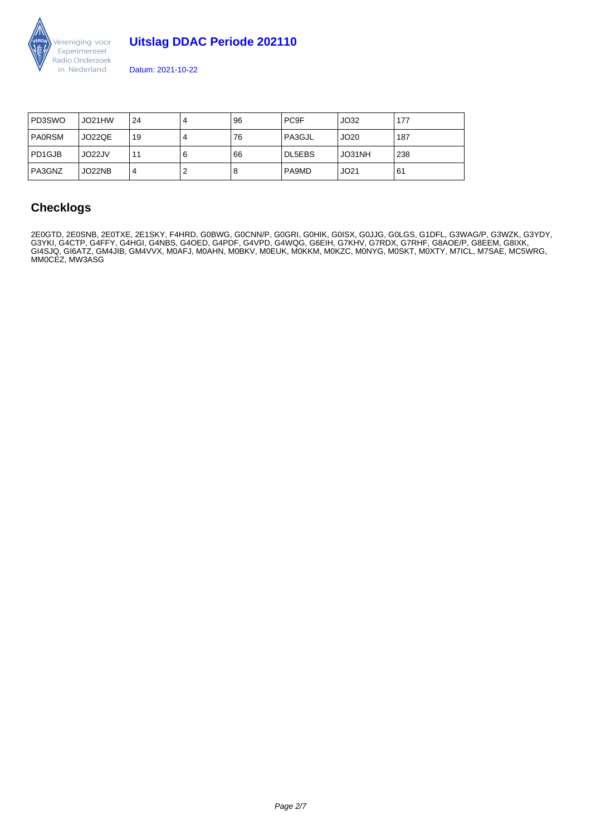

**Uitslag DDAC Periode 202110** 

Datum: 2021-10-22

| PD3SWO        | JO21HW | 24 | 96 | PC <sub>9</sub> F | JO32   | 177 |
|---------------|--------|----|----|-------------------|--------|-----|
| <b>PAORSM</b> | JO22QE | 19 | 76 | PA3GJL            | JO20   | 187 |
| l PD1GJB      | JO22JV | 11 | 66 | DL5EBS            | JO31NH | 238 |
| l PA3GNZ      | JO22NB | 4  | 8  | PA9MD             | JO21   | 61  |

### **Checklogs**

2E0GTD, 2E0SNB, 2E0TXE, 2E1SKY, F4HRD, G0BWG, G0CNN/P, G0GRI, G0HIK, G0ISX, G0JJG, G0LGS, G1DFL, G3WAG/P, G3WZK, G3YDY, G3YKI, G4CTP, G4FFY, G4HGI, G4NBS, G4OED, G4PDF, G4VPD, G4WQG, G6EIH, G7KHV, G7RDX, G7RHF, G8AOE/P, G8EEM, G8IXK, GI4SJQ, GI6ATZ, GM4JIB, GM4VVX, M0AFJ, M0AHN, M0BKV, M0EUK, M0KKM, M0KZC, M0NYG, M0SKT, M0XTY, M7ICL, M7SAE, MC5WRG, MM0CEZ, MW3ASG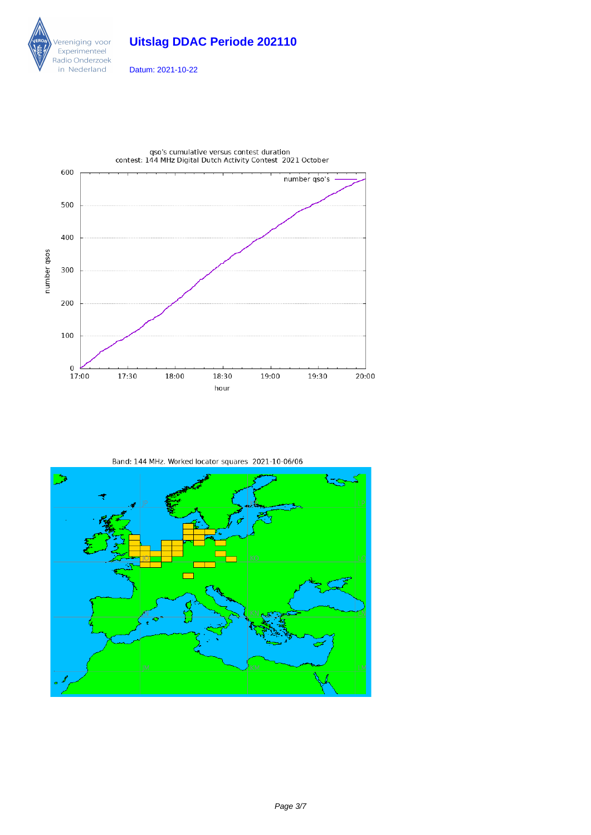





qso's cumulative versus contest duration<br>contest: 144 MHz Digital Dutch Activity Contest 2021 October



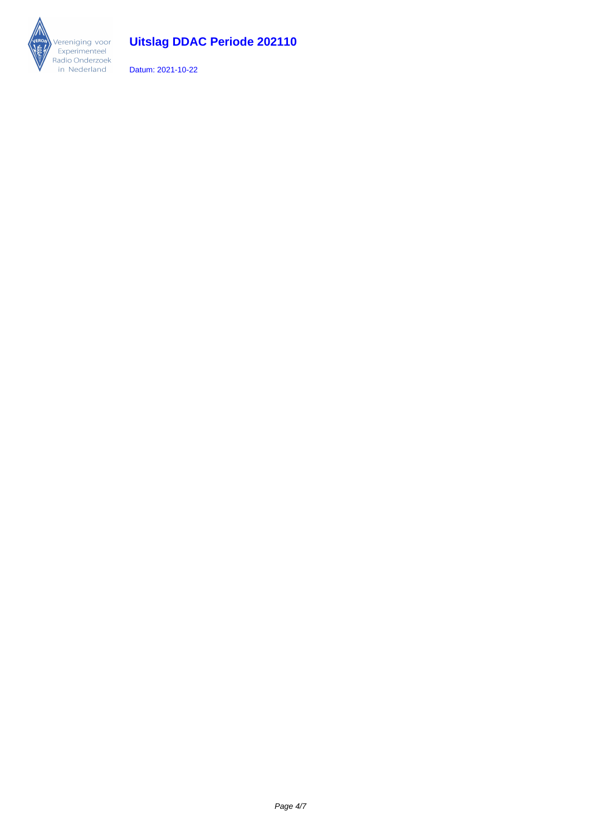

# **Uitslag DDAC Periode 202110**

Datum: 2021-10-22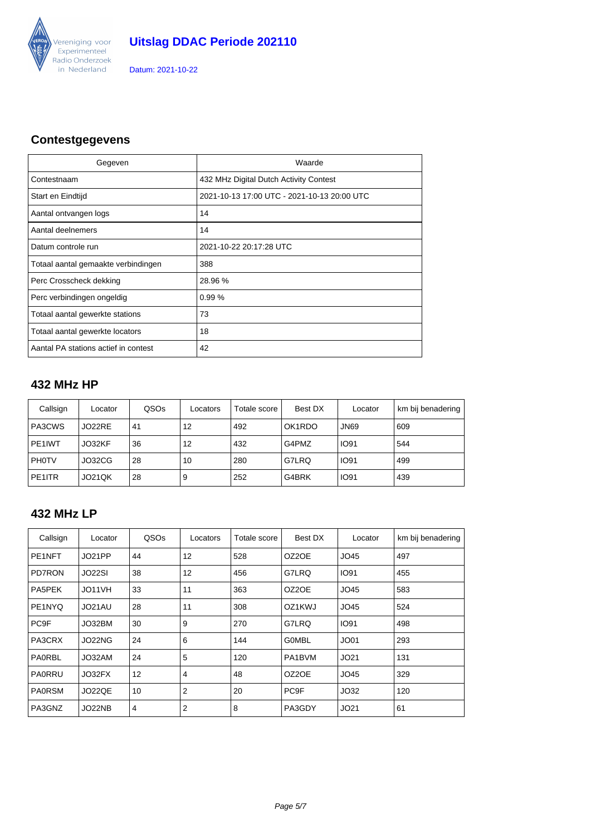

### **Contestgegevens**

| Gegeven                              | Waarde                                      |
|--------------------------------------|---------------------------------------------|
| Contestnaam                          | 432 MHz Digital Dutch Activity Contest      |
| Start en Eindtijd                    | 2021-10-13 17:00 UTC - 2021-10-13 20:00 UTC |
| Aantal ontvangen logs                | 14                                          |
| Aantal deelnemers                    | 14                                          |
| Datum controle run                   | 2021-10-22 20:17:28 UTC                     |
| Totaal aantal gemaakte verbindingen  | 388                                         |
| Perc Crosscheck dekking              | 28.96 %                                     |
| Perc verbindingen ongeldig           | 0.99%                                       |
| Totaal aantal gewerkte stations      | 73                                          |
| Totaal aantal gewerkte locators      | 18                                          |
| Aantal PA stations actief in contest | 42                                          |

### **432 MHz HP**

| Callsign      | Locator       | QSOs | Locators | Totale score | Best DX | Locator     | km bij benadering |
|---------------|---------------|------|----------|--------------|---------|-------------|-------------------|
| PA3CWS        | JO22RE        | 41   | 12       | 492          | OK1RDO  | <b>JN69</b> | 609               |
| PE1IWT        | JO32KF        | 36   | 12       | 432          | G4PMZ   | <b>IO91</b> | 544               |
| I PH0TV       | JO32CG        | 28   | 10       | 280          | G7LRQ   | <b>IO91</b> | 499               |
| <b>PE1ITR</b> | <b>JO21QK</b> | 28   | 9        | 252          | G4BRK   | <b>IO91</b> | 439               |

### **432 MHz LP**

| Callsign         | Locator | QSOs | Locators       | Totale score | Best DX          | Locator     | km bij benadering |
|------------------|---------|------|----------------|--------------|------------------|-------------|-------------------|
| PE1NFT           | JO21PP  | 44   | 12             | 528          | OZ2OE            | JO45        | 497               |
| PD7RON           | JO22SI  | 38   | 12             | 456          | G7LRQ            | <b>IO91</b> | 455               |
| <b>PA5PEK</b>    | JO11VH  | 33   | 11             | 363          | OZ2OE            | JO45        | 583               |
| PE1NYQ           | JO21AU  | 28   | 11             | 308          | OZ1KWJ           | JO45        | 524               |
| PC <sub>9F</sub> | JO32BM  | 30   | 9              | 270          | G7LRQ            | <b>IO91</b> | 498               |
| <b>PA3CRX</b>    | JO22NG  | 24   | 6              | 144          | <b>GOMBL</b>     | JO01        | 293               |
| <b>PA0RBL</b>    | JO32AM  | 24   | 5              | 120          | PA1BVM           | JO21        | 131               |
| PA0RRU           | JO32FX  | 12   | $\overline{4}$ | 48           | OZ2OE            | JO45        | 329               |
| <b>PA0RSM</b>    | JO22QE  | 10   | $\overline{2}$ | 20           | PC <sub>9F</sub> | JO32        | 120               |
| PA3GNZ           | JO22NB  | 4    | $\overline{2}$ | 8            | PA3GDY           | JO21        | 61                |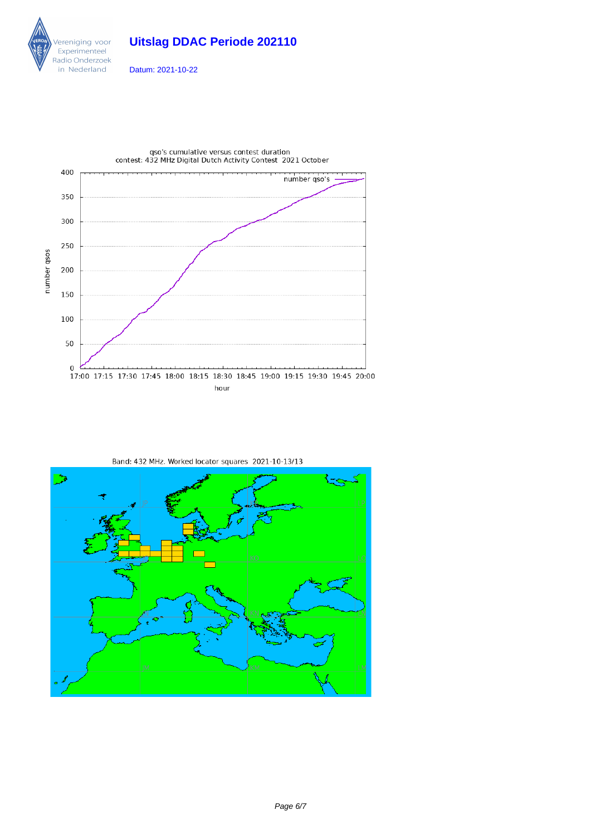